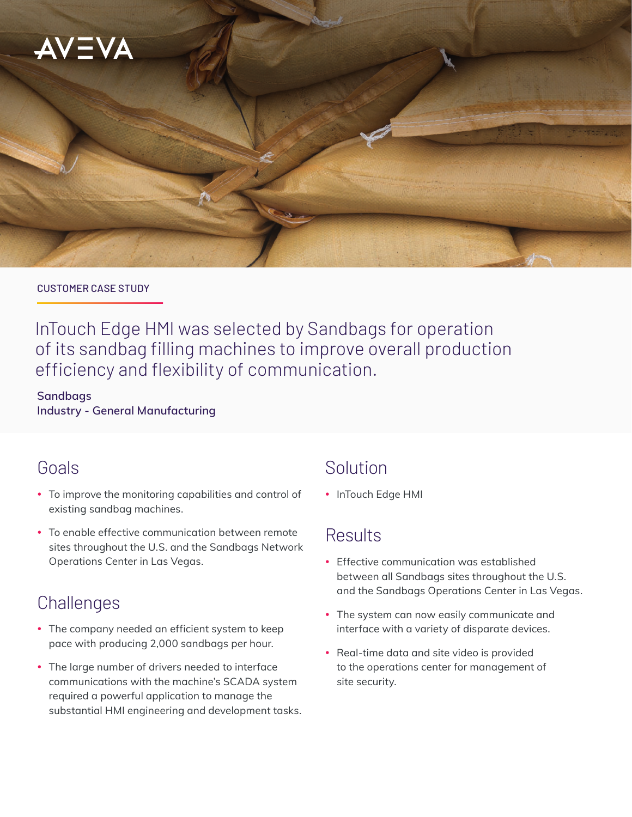

#### CUSTOMER CASE STUDY

InTouch Edge HMI was selected by Sandbags for operation of its sandbag filling machines to improve overall production efficiency and flexibility of communication.

**Sandbags Industry - General Manufacturing**

# Goals

- To improve the monitoring capabilities and control of existing sandbag machines.
- To enable effective communication between remote sites throughout the U.S. and the Sandbags Network Operations Center in Las Vegas.

# **Challenges**

- The company needed an efficient system to keep pace with producing 2,000 sandbags per hour.
- The large number of drivers needed to interface communications with the machine's SCADA system required a powerful application to manage the substantial HMI engineering and development tasks.

# Solution

• InTouch Edge HMI

# **Results**

- Effective communication was established between all Sandbags sites throughout the U.S. and the Sandbags Operations Center in Las Vegas.
- The system can now easily communicate and interface with a variety of disparate devices.
- Real-time data and site video is provided to the operations center for management of site security.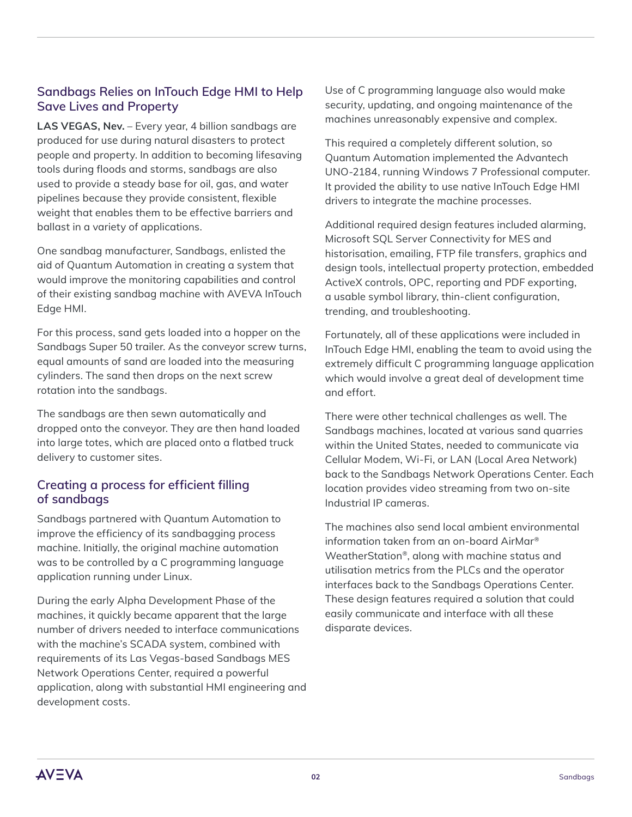## **Sandbags Relies on InTouch Edge HMI to Help Save Lives and Property**

**LAS VEGAS, Nev.** – Every year, 4 billion sandbags are produced for use during natural disasters to protect people and property. In addition to becoming lifesaving tools during floods and storms, sandbags are also used to provide a steady base for oil, gas, and water pipelines because they provide consistent, flexible weight that enables them to be effective barriers and ballast in a variety of applications.

One sandbag manufacturer, Sandbags, enlisted the aid of Quantum Automation in creating a system that would improve the monitoring capabilities and control of their existing sandbag machine with AVEVA InTouch Edge HMI.

For this process, sand gets loaded into a hopper on the Sandbags Super 50 trailer. As the conveyor screw turns, equal amounts of sand are loaded into the measuring cylinders. The sand then drops on the next screw rotation into the sandbags.

The sandbags are then sewn automatically and dropped onto the conveyor. They are then hand loaded into large totes, which are placed onto a flatbed truck delivery to customer sites.

#### **Creating a process for efficient filling of sandbags**

Sandbags partnered with Quantum Automation to improve the efficiency of its sandbagging process machine. Initially, the original machine automation was to be controlled by a C programming language application running under Linux.

During the early Alpha Development Phase of the machines, it quickly became apparent that the large number of drivers needed to interface communications with the machine's SCADA system, combined with requirements of its Las Vegas-based Sandbags MES Network Operations Center, required a powerful application, along with substantial HMI engineering and development costs.

Use of C programming language also would make security, updating, and ongoing maintenance of the machines unreasonably expensive and complex.

This required a completely different solution, so Quantum Automation implemented the Advantech UNO-2184, running Windows 7 Professional computer. It provided the ability to use native InTouch Edge HMI drivers to integrate the machine processes.

Additional required design features included alarming, Microsoft SQL Server Connectivity for MES and historisation, emailing, FTP file transfers, graphics and design tools, intellectual property protection, embedded ActiveX controls, OPC, reporting and PDF exporting, a usable symbol library, thin-client configuration, trending, and troubleshooting.

Fortunately, all of these applications were included in InTouch Edge HMI, enabling the team to avoid using the extremely difficult C programming language application which would involve a great deal of development time and effort.

There were other technical challenges as well. The Sandbags machines, located at various sand quarries within the United States, needed to communicate via Cellular Modem, Wi-Fi, or LAN (Local Area Network) back to the Sandbags Network Operations Center. Each location provides video streaming from two on-site Industrial IP cameras.

The machines also send local ambient environmental information taken from an on-board AirMar® WeatherStation®, along with machine status and utilisation metrics from the PLCs and the operator interfaces back to the Sandbags Operations Center. These design features required a solution that could easily communicate and interface with all these disparate devices.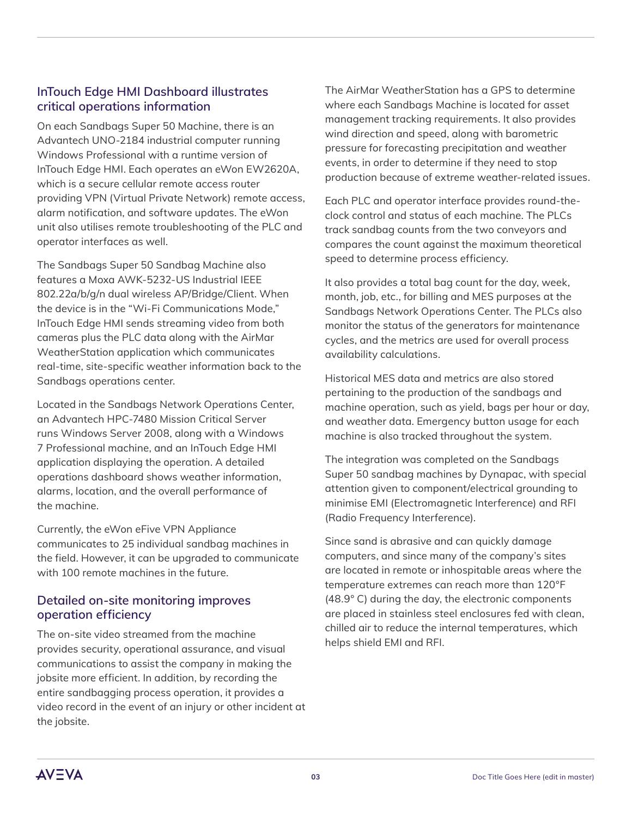### **InTouch Edge HMI Dashboard illustrates critical operations information**

On each Sandbags Super 50 Machine, there is an Advantech UNO-2184 industrial computer running Windows Professional with a runtime version of InTouch Edge HMI. Each operates an eWon EW2620A, which is a secure cellular remote access router providing VPN (Virtual Private Network) remote access, alarm notification, and software updates. The eWon unit also utilises remote troubleshooting of the PLC and operator interfaces as well.

The Sandbags Super 50 Sandbag Machine also features a Moxa AWK-5232-US Industrial IEEE 802.22a/b/g/n dual wireless AP/Bridge/Client. When the device is in the "Wi-Fi Communications Mode," InTouch Edge HMI sends streaming video from both cameras plus the PLC data along with the AirMar WeatherStation application which communicates real-time, site-specific weather information back to the Sandbags operations center.

Located in the Sandbags Network Operations Center, an Advantech HPC-7480 Mission Critical Server runs Windows Server 2008, along with a Windows 7 Professional machine, and an InTouch Edge HMI application displaying the operation. A detailed operations dashboard shows weather information, alarms, location, and the overall performance of the machine.

Currently, the eWon eFive VPN Appliance communicates to 25 individual sandbag machines in the field. However, it can be upgraded to communicate with 100 remote machines in the future.

#### **Detailed on-site monitoring improves operation efficiency**

The on-site video streamed from the machine provides security, operational assurance, and visual communications to assist the company in making the jobsite more efficient. In addition, by recording the entire sandbagging process operation, it provides a video record in the event of an injury or other incident at the jobsite.

The AirMar WeatherStation has a GPS to determine where each Sandbags Machine is located for asset management tracking requirements. It also provides wind direction and speed, along with barometric pressure for forecasting precipitation and weather events, in order to determine if they need to stop production because of extreme weather-related issues.

Each PLC and operator interface provides round-theclock control and status of each machine. The PLCs track sandbag counts from the two conveyors and compares the count against the maximum theoretical speed to determine process efficiency.

It also provides a total bag count for the day, week, month, job, etc., for billing and MES purposes at the Sandbags Network Operations Center. The PLCs also monitor the status of the generators for maintenance cycles, and the metrics are used for overall process availability calculations.

Historical MES data and metrics are also stored pertaining to the production of the sandbags and machine operation, such as yield, bags per hour or day, and weather data. Emergency button usage for each machine is also tracked throughout the system.

The integration was completed on the Sandbags Super 50 sandbag machines by Dynapac, with special attention given to component/electrical grounding to minimise EMI (Electromagnetic Interference) and RFI (Radio Frequency Interference).

Since sand is abrasive and can quickly damage computers, and since many of the company's sites are located in remote or inhospitable areas where the temperature extremes can reach more than 120°F (48.9° C) during the day, the electronic components are placed in stainless steel enclosures fed with clean, chilled air to reduce the internal temperatures, which helps shield EMI and RFI.